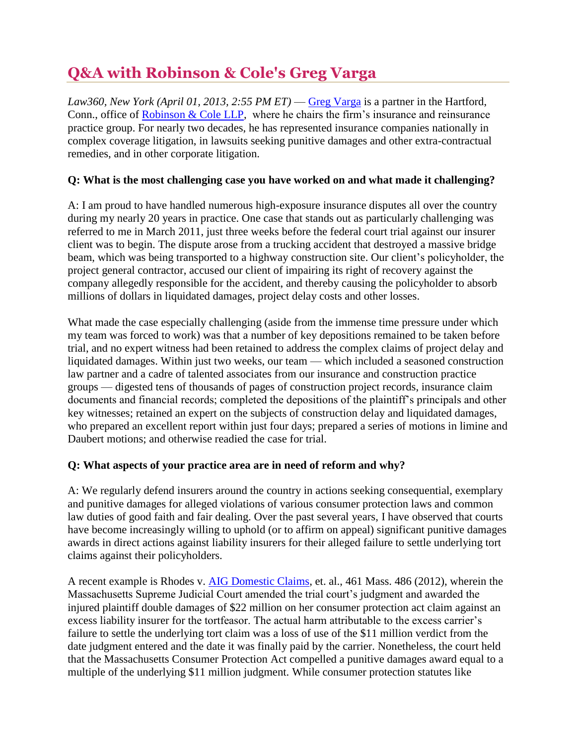# **Q&A with Robinson & Cole's Greg Varga**

*Law360, New York (April 01, 2013, 2:55 PM ET)* — [Greg Varga](http://www.rc.com/Bio.cfm?eID=830) is a partner in the Hartford, Conn., office of [Robinson & Cole LLP,](http://www.law360.com/firm/robinson-cole) where he chairs the firm's insurance and reinsurance practice group. For nearly two decades, he has represented insurance companies nationally in complex coverage litigation, in lawsuits seeking punitive damages and other extra-contractual remedies, and in other corporate litigation.

## **Q: What is the most challenging case you have worked on and what made it challenging?**

A: I am proud to have handled numerous high-exposure insurance disputes all over the country during my nearly 20 years in practice. One case that stands out as particularly challenging was referred to me in March 2011, just three weeks before the federal court trial against our insurer client was to begin. The dispute arose from a trucking accident that destroyed a massive bridge beam, which was being transported to a highway construction site. Our client's policyholder, the project general contractor, accused our client of impairing its right of recovery against the company allegedly responsible for the accident, and thereby causing the policyholder to absorb millions of dollars in liquidated damages, project delay costs and other losses.

What made the case especially challenging (aside from the immense time pressure under which my team was forced to work) was that a number of key depositions remained to be taken before trial, and no expert witness had been retained to address the complex claims of project delay and liquidated damages. Within just two weeks, our team — which included a seasoned construction law partner and a cadre of talented associates from our insurance and construction practice groups — digested tens of thousands of pages of construction project records, insurance claim documents and financial records; completed the depositions of the plaintiff's principals and other key witnesses; retained an expert on the subjects of construction delay and liquidated damages, who prepared an excellent report within just four days; prepared a series of motions in limine and Daubert motions; and otherwise readied the case for trial.

#### **Q: What aspects of your practice area are in need of reform and why?**

A: We regularly defend insurers around the country in actions seeking consequential, exemplary and punitive damages for alleged violations of various consumer protection laws and common law duties of good faith and fair dealing. Over the past several years, I have observed that courts have become increasingly willing to uphold (or to affirm on appeal) significant punitive damages awards in direct actions against liability insurers for their alleged failure to settle underlying tort claims against their policyholders.

A recent example is Rhodes v. [AIG Domestic Claims,](http://www.law360.com/company/insurance-australia) et. al., 461 Mass. 486 (2012), wherein the Massachusetts Supreme Judicial Court amended the trial court's judgment and awarded the injured plaintiff double damages of \$22 million on her consumer protection act claim against an excess liability insurer for the tortfeasor. The actual harm attributable to the excess carrier's failure to settle the underlying tort claim was a loss of use of the \$11 million verdict from the date judgment entered and the date it was finally paid by the carrier. Nonetheless, the court held that the Massachusetts Consumer Protection Act compelled a punitive damages award equal to a multiple of the underlying \$11 million judgment. While consumer protection statutes like